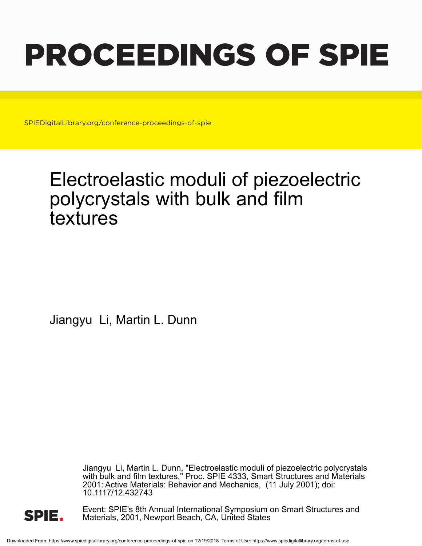# PROCEEDINGS OF SPIE

SPIEDigitalLibrary.org/conference-proceedings-of-spie

## Electroelastic moduli of piezoelectric polycrystals with bulk and film textures

Jiangyu Li, Martin L. Dunn

Jiangyu Li, Martin L. Dunn, "Electroelastic moduli of piezoelectric polycrystals with bulk and film textures," Proc. SPIE 4333, Smart Structures and Materials 2001: Active Materials: Behavior and Mechanics, (11 July 2001); doi: 10.1117/12.432743



Event: SPIE's 8th Annual International Symposium on Smart Structures and Materials, 2001, Newport Beach, CA, United States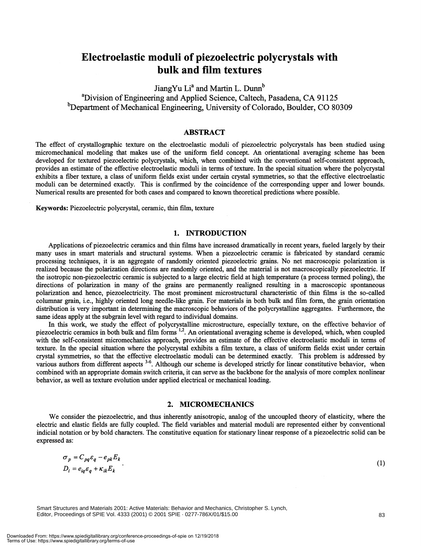### Electroelastic moduli of piezoelectric polycrystals with bulk and film textures

JiangYu Li<sup>a</sup> and Martin L. Dunn<sup>b</sup> <sup>a</sup>Division of Engineering and Applied Science, Caltech, Pasadena, CA 91125  $b$ Department of Mechanical Engineering, University of Colorado, Boulder, CO 80309

#### ABSTRACT

The effect of crystallographic texture on the electroelastic moduli of piezoelectric polycrystals has been studied using micromechanical modeling that makes use of the uniform field concept. An orientational averaging scheme has been developed for textured piezoelectric polycrystals, which, when combined with the conventional self-consistent approach, provides an estimate of the effective electroelastic moduli in terms of texture. In the special situation where the polycrystal exhibits a fiber texture, a class of uniform fields exist under certain crystal symmetries, so that the effective electroelastic moduli can be determined exactly. This is confirmed by the coincidence of the corresponding upper and lower bounds. Numerical results are presented for both cases and compared to known theoretical predictions where possible.

Keywords: Piezoelectric polycrystal, ceramic, thin film, texture

#### 1. INTRODUCTION

Applications of piezoelectric ceramics and thin films have increased dramatically in recent years, fueled largely by their many uses in smart materials and structural systems. When a piezoelectric ceramic is fabricated by standard ceramic processing techniques, it is an aggregate of randomly oriented piezoelectric grains. No net macroscopic polarization is realized because the polarization directions are randomly oriented, and the material is not macroscopically piezoelectric. If the isotropic non-piezoelectric ceramic is subjected to a large electric field at high temperature (a process termed poling), the directions of polarization in many of the grains are permanently realigned resulting in a macroscopic spontaneous polarization and hence, piezoelectricity. The most prominent microstructural characteristic of thin films is the so-called columnar grain, i.e., highly oriented long needle-like grain. For materials in both bulk and film form, the grain orientation distribution is very important in determining the macroscopic behaviors of the polycrystalline aggregates. Furthermore, the same ideas apply at the subgrain level with regard to individual domains.

In this work, we study the effect of polycrystalline microstructure, especially texture, on the effective behavior of piezoelectric ceramics in both bulk and film forms <sup>1,2</sup>. An orientational averaging scheme is developed, which, when coupled with the self-consistent micromechanics approach, provides an estimate of the effective electroelastic moduli in terms of texture. In the special situation where the polycrystal exhibits a film texture, a class of uniform fields exist under certain crystal symmetries, so that the effective electroelastic moduli can be determined exactly. This problem is addressed by various authors from different aspects <sup>3-6</sup>. Although our scheme is developed strictly for linear constitutive behavior, when combined with an appropriate domain switch criteria, it can serve as the backbone for the analysis of more complex nonlinear behavior, as well as texture evolution under applied electrical or mechanical loading.

#### 2. MICROMECHANICS

We consider the piezoelectric, and thus inherently anisotropic, analog of the uncoupled theory of elasticity, where the electric and elastic fields are fully coupled. The field variables and material moduli are represented either by conventional indicial notation or by bold characters. The constitutive equation for stationary linear response of a piezoelectric solid can be expressed as:

$$
\sigma_p = C_{pq} \varepsilon_q - e_{pk} E_k
$$
  
\n
$$
D_i = e_{iq} \varepsilon_q + \kappa_{ik} E_k
$$
\n(1)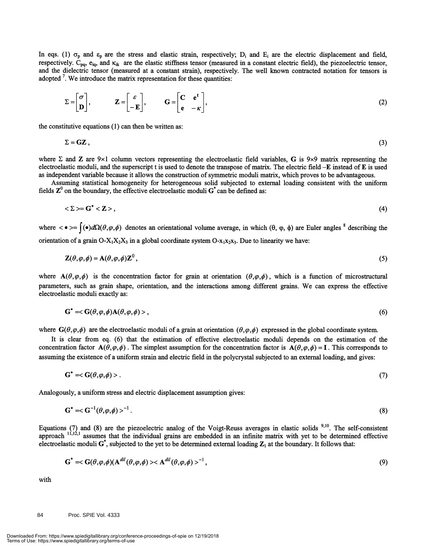In eqs. (1)  $\sigma_p$  and  $\varepsilon_p$  are the stress and elastic strain, respectively; D<sub>i</sub> and E<sub>i</sub> are the electric displacement and field, respectively.  $C_{pq}$ ,  $e_{iq}$ , and  $\kappa_{ik}$  are the elastic stiffness tensor (measured in a constant electric field), the piezoelectric tensor, and the dielectric tensor (measured at a constant strain), respectively. The well known contracted notation for tensors is adopted '. We introduce the matrix representation for these quantities:

$$
\Sigma = \begin{bmatrix} \sigma \\ \mathbf{D} \end{bmatrix}, \qquad \mathbf{Z} = \begin{bmatrix} \varepsilon \\ -\mathbf{E} \end{bmatrix}, \qquad \mathbf{G} = \begin{bmatrix} \mathbf{C} & \mathbf{e}^{\mathbf{t}} \\ \mathbf{e} & -\kappa \end{bmatrix}, \tag{2}
$$

the constitutive equations (1) can then be written as:

$$
\Sigma = \mathbf{GZ} \,, \tag{3}
$$

where  $\Sigma$  and Z are 9×1 column vectors representing the electroelastic field variables, G is 9×9 matrix representing the electroelastic moduli, and the superscript t is used to denote the transpose of matrix. The electric field —E instead of E is used as independent variable because it allows the construction of symmetric moduli matrix, which proves to be advantageous.

Assuming statistical homogeneity for heterogeneous solid subjected to external loading consistent with the uniform fields  $\mathbb{Z}^0$  on the boundary, the effective electroelastic moduli  $G^*$  can be defined as:

$$
\langle \Sigma \rangle = G^* \langle Z \rangle \,, \tag{4}
$$

where  $\langle \bullet \rangle = \int (\bullet) d\Omega(\theta, \varphi, \phi)$  denotes an orientational volume average, in which  $(\theta, \varphi, \phi)$  are Euler angles <sup>8</sup> describing the orientation of a grain  $O-X_1X_2X_3$  in a global coordinate system  $O-x_1x_2x_3$ . Due to linearity we have:

$$
\mathbf{Z}(\theta,\varphi,\phi) = \mathbf{A}(\theta,\varphi,\phi)\mathbf{Z}^0,\tag{5}
$$

where  $A(\theta,\varphi,\phi)$  is the concentration factor for grain at orientation  $(\theta,\varphi,\phi)$ , which is a function of microstructural parameters, such as grain shape, orientation, and the interactions among different grains. We can express the effective electroelastic moduli exactly as:

$$
\mathbf{G}^* = \langle \mathbf{G}(\theta, \varphi, \phi) \mathbf{A}(\theta, \varphi, \phi) \rangle, \tag{6}
$$

where  $G(\theta, \varphi, \phi)$  are the electroelastic moduli of a grain at orientation  $(\theta, \varphi, \phi)$  expressed in the global coordinate system.

It is clear from eq. (6) that the estimation of effective electroelastic moduli depends on the estimation of the concentration factor  $A(\theta, \varphi, \phi)$ . The simplest assumption for the concentration factor is  $A(\theta, \varphi, \phi) = I$ . This corresponds to assuming the existence of a uniform strain and electric field in the polycrystal subjected to an external loading, and gives:

$$
\mathbf{G}^* = \langle \mathbf{G}(\theta, \varphi, \phi) \rangle. \tag{7}
$$

Analogously, a uniform stress and electric displacement assumption gives:

$$
\mathbf{G}^* = \langle \mathbf{G}^{-1}(\theta, \varphi, \phi) \rangle^{-1}.
$$
 (8)

Equations  $(7)$  and  $(8)$  are the piezoelectric analog of the Voigt-Reuss averages in elastic solids <sup>9,10</sup>. The self-consistent approach <sup>11,12,1</sup> assumes that the individual grains are embedded in an infinite matrix with yet to be determined effective electroelastic moduli  $G^*$ , subjected to the yet to be determined external loading  $Z_1$  at the boundary. It follows that:

$$
\mathbf{G}^* = \langle \mathbf{G}(\theta, \varphi, \phi)(\mathbf{A}^{dil}(\theta, \varphi, \phi) \rangle \langle \mathbf{A}^{dil}(\theta, \varphi, \phi) \rangle^{-1}, \tag{9}
$$

with

#### 84 Proc. SPIE Vol. 4333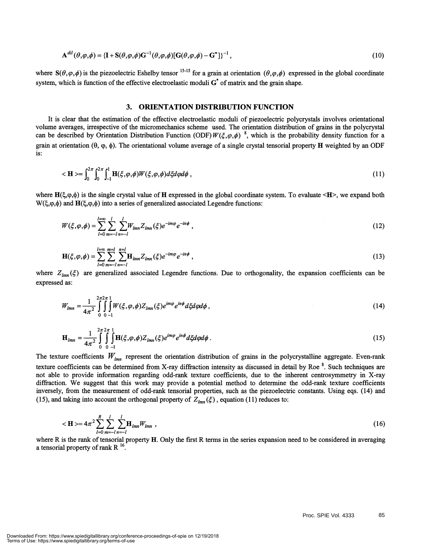$$
\mathbf{A}^{dil}(\theta,\varphi,\phi) = \{\mathbf{I} + \mathbf{S}(\theta,\varphi,\phi)\mathbf{G}^{-1}(\theta,\varphi,\phi)[\mathbf{G}(\theta,\varphi,\phi) - \mathbf{G}^*]\}^{-1},\tag{10}
$$

where  $S(\theta, \varphi, \phi)$  is the piezoelectric Eshelby tensor <sup>13-15</sup> for a grain at orientation  $(\theta, \varphi, \phi)$  expressed in the global coordinate system, which is function of the effective electroelastic moduli  $G^*$  of matrix and the grain shape.

#### 3. ORIENTATION DISTRIBUTION FUNCTION

It is clear that the estimation of the effective electroelastic moduli of piezoelectric polycrystals involves orientational volume averages, irrespective of the micromechanics scheme used. The orientation distribution of grains in the polycrystal can be described by Orientation Distribution Function (ODF)  $W(\xi,\varphi,\phi)$ <sup>8</sup>, which is the probability density function for a grain at orientation  $(\theta, \varphi, \varphi)$ . The orientational volume average of a single crystal tensorial property  $H$  weighted by an ODF is:

$$
\langle \mathbf{H} \rangle = \int_0^{2\pi} \int_0^{2\pi} \int_{-1}^1 \mathbf{H}(\xi, \varphi, \phi) W(\xi, \varphi, \phi) d\xi d\varphi d\phi , \qquad (11)
$$

where  $H(\xi,\varphi,\phi)$  is the single crystal value of H expressed in the global coordinate system. To evaluate  $\langle H \rangle$ , we expand both  $W(\xi,\varphi,\phi)$  and  $H(\xi,\varphi,\phi)$  into a series of generalized associated Legendre functions:

$$
W(\xi,\varphi,\phi) = \sum_{l=0}^{l=\infty} \sum_{m=-l}^{l} \sum_{n=-l}^{l} W_{lmn} Z_{lmn}(\xi) e^{-im\varphi} e^{-in\phi} , \qquad (12)
$$

$$
\mathbf{H}(\xi,\varphi,\phi) = \sum_{l=0}^{l=\infty} \sum_{m=-l}^{m=l} \sum_{n=-l}^{n=l} \mathbf{H}_{lmn} Z_{lmn}(\xi) e^{-im\varphi} e^{-in\phi},
$$
\n(13)

where  $Z_{lmn}(\xi)$  are generalized associated Legendre functions. Due to orthogonality, the expansion coefficients can be expressed as:

$$
W_{lmn} = \frac{1}{4\pi^2} \int_{0}^{2\pi^2} \int_{0}^{1} W(\xi, \varphi, \phi) Z_{lmn}(\xi) e^{im\varphi} e^{in\phi} d\xi d\varphi d\phi,
$$
 (14)

$$
\mathbf{H}_{lmn} = \frac{1}{4\pi^2} \int_{0}^{2\pi} \int_{0}^{2\pi} \prod_{j=1}^{n} \mathbf{H}(\xi, \varphi, \phi) Z_{lmn}(\xi) e^{im\varphi} e^{in\phi} d\xi d\varphi d\phi.
$$
 (15)

The texture coefficients  $W_{lmn}$  represent the orientation distribution of grains in the polycrystalline aggregate. Even-rank texture coefficients can be determined from X-ray diffraction intensity as discussed in detail by Roe<sup>8</sup>. Such techniques are not able to provide information regarding odd-rank texture coefficients, due to the inherent centrosymmetry in X-ray diffraction. We suggest that this work may provide a potential method to determine the odd-rank texture coefficients inversely, from the measurement of odd-rank tensorial properties, such as the piezoelectric constants. Using eqs. (14) and (15), and taking into account the orthogonal property of  $Z_{lmn}(\xi)$ , equation (11) reduces to:

$$
\langle \mathbf{H} \rangle = 4\pi^2 \sum_{l=0}^{R} \sum_{m=-l}^{l} \sum_{n=-l}^{l} \mathbf{H}_{lmn} W_{lmn} \,, \tag{16}
$$

where R is the rank of tensorial property H. Only the first R terms in the series expansion need to be considered in averaging a tensorial property of rank  $R^{-16}$ .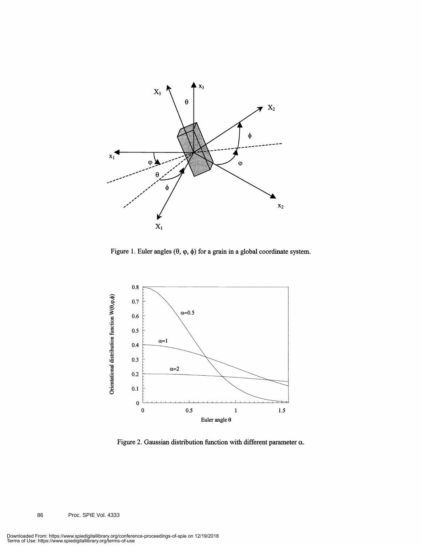

Figure 1. Euler angles  $(\theta, \varphi, \phi)$  for a grain in a global coordinate system.



Figure 2. Gaussian distribution function with different parameter  $\alpha$ .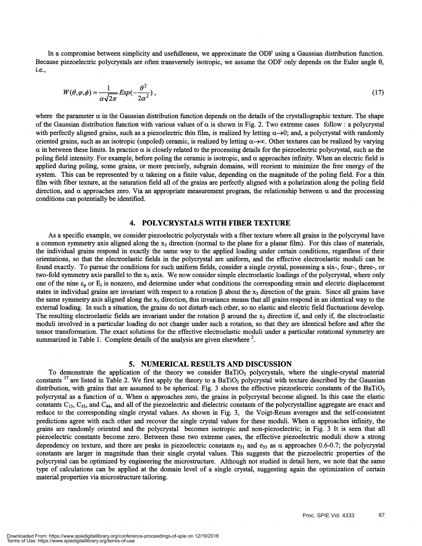In a compromise between simplicity and usefulleness, we approximate the ODF using a Gaussian distribution function. Because piezoelectric polycrystals are often transversely isotropic, we assume the ODF only depends on the Euler angle 0, i.e.,

$$
W(\theta,\varphi,\phi) = \frac{1}{\alpha\sqrt{2\pi}} Exp(-\frac{\theta^2}{2\alpha^2}),
$$
\n(17)

where the parameter  $\alpha$  in the Gaussian distribution function depends on the details of the crystallographic texture. The shape of the Gaussian distribution function with various values of  $\alpha$  is shown in Fig. 2. Two extreme cases follow : a polycrystal with perfectly aligned grains, such as a piezoelectric thin film, is realized by letting  $\alpha \rightarrow 0$ ; and, a polycrystal with randomly oriented grains, such as an isotropic (unpoled) ceramic, is realized by letting  $\alpha \rightarrow \infty$ . Other textures can be realized by varying  $\alpha$  in between these limits. In practice  $\alpha$  is closely related to the processing details for the piezoelectric polycrystal, such as the poling field intensity. For example, before poling the ceramic is isotropic, and  $\alpha$  approaches infinity. When an electric field is applied during poling, some grains, or more precisely, subgrain domains, will reorient to minimize the free energy of the system. This can be represented by  $\alpha$  takeing on a finite value, depending on the magnitude of the poling field. For a thin film with fiber texture, at the saturation field all of the grains are perfectly aligned with a polarization along the poling field direction, and  $\alpha$  approaches zero. Via an appropriate measurement program, the relationship between  $\alpha$  and the processing conditions can potentially be identified.

#### 4. POLYCRYSTALS WITH FIBER TEXTURE

As a specific example, we consider piezoelectric polycrystals with a fiber texture where all grains in the polycrystal have a common symmetry axis aligned along the  $x_3$  direction (normal to the plane for a planar film). For this class of materials, the individual grains respond in exactly the same way to the applied loading under certain conditions, regardless of their orientations, so that the electroelastic fields in the polycrystal are uniform, and the effective electroelastic moduli can be found exactly. To pursue the conditions for such uniform fields, consider a single crystal, possessing a six-, four-, three-, or two-fold symmetry axis parallel to the  $x_3$  axis. We now consider simple electroelastic loadings of the polycrystal, where only one of the nine  $\varepsilon_p$  or  $E_i$  is nonzero, and determine under what conditions the corresponding strain and electric displacement states in individual grains are invariant with respect to a rotation  $\beta$  about the  $x_3$  direction of the grain. Since all grains have the same symmetry axis aligned along the  $x_3$  direction, this invariance means that all grains respond in an identical way to the external loading. In such a situation, the grains do not disturb each other, so no elastic and electric field fluctuations develop. The resulting electroelastic fields are invariant under the rotation  $\beta$  around the x<sub>3</sub> direction if, and only if, the electroelastic moduli involved in a particular loading do not change under such a rotation, so that they are identical before and after the tensor transformation. The exact solutions for the effective electroelastic moduli under a particular rotational symmetry are summarized in Table 1. Complete details of the analysis are given elsewhere  $2$ .

5. NUMERICAL RESULTS AND DISCUSSION<br>To demonstrate the application of the theory we consider BaTiO<sub>3</sub> polycrystals, where the single-crystal material constants  $^{17}$  are listed in Table 2. We first apply the theory to a BaTiO, polycrystal with texture described by the Gaussian distribution, with grains that are assumed to be spherical. Fig. 3 shows the effective piezoelectric constants of the BaTiO<sub>3</sub> polycrystal as a function of  $\alpha$ . When  $\alpha$  approaches zero, the grains in polycrystal become aligned. In this case the elastic constants  $C_{13}$ ,  $C_{33}$ , and  $C_{44}$ , and all of the piezoelectric and dielectric constants of the polycrystalline aggregate are exact and reduce to the corresponding single crystal values. As shown in Fig. 3, the Voigt-Reuss averages and the self-consistent predictions agree with each other and recover the single crystal values for these moduli. When  $\alpha$  approaches infinity, the grains are randomly oriented and the polycrystal becomes isotropic and non-piezoelectric; in Fig. 3 It is seen that all piezoelectric constants become zero. Between these two extreme cases, the effective piezoelectric moduli show a strong dependency on texture, and there are peaks in piezoelectric constants  $e_{31}$  and  $e_{33}$  as  $\alpha$  approaches 0.6-0.7; the polycrystal constants are larger in magnitude than their single crystal values. This suggests that the piezoelectric properties of the polycrystal can be optimized by engineering the microstructure. Although not studied in detail here, we note that the same type of calculations can be applied at the domain level of a single crystal, suggesting again the optimization of certain material properties via microstructure tailoring.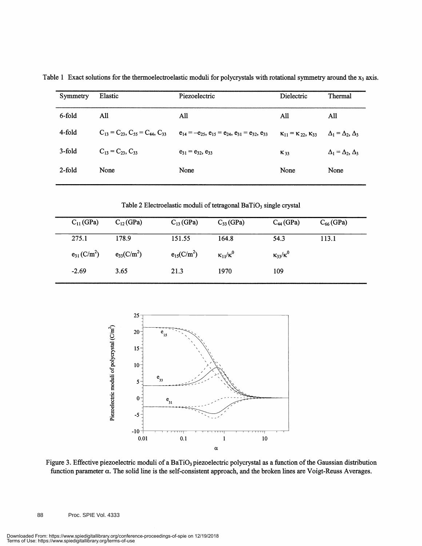| Symmetry  | Elastic                                          | Piezoelectric                                                | Dielectric                               | Thermal                         |
|-----------|--------------------------------------------------|--------------------------------------------------------------|------------------------------------------|---------------------------------|
| 6-fold    | All                                              | All                                                          | All                                      | All                             |
| 4-fold    | $C_{13} = C_{23}$ , $C_{55} = C_{44}$ , $C_{33}$ | $e_{14} = -e_{25}, e_{15} = e_{24}, e_{31} = e_{32}, e_{33}$ | $\kappa_{11} = \kappa_{22}, \kappa_{33}$ | $\Delta_1 = \Delta_2, \Delta_3$ |
| 3-fold    | $C_{13} = C_{23}$ , $C_{33}$                     | $e_{31} = e_{32}, e_{33}$                                    | $K_{33}$                                 | $\Delta_1 = \Delta_2, \Delta_3$ |
| $2$ -fold | None                                             | None                                                         | None                                     | None                            |
|           |                                                  |                                                              |                                          |                                 |

Table 1 Exact solutions for the thermoelectroelastic moduli for polycrystals with rotational symmetry around the  $x_3$  axis.

Table 2 Electroelastic moduli of tetragonal BaTiO<sub>3</sub> single crystal

| $C_{11}$ (GPa)               | $C_{12}$ (GPa)  | $C_{13}$ (GPa)  | $C_{33}$ (GPa)         | $C_{44}$ (GPa)         | $C_{66}$ (GPa) |  |
|------------------------------|-----------------|-----------------|------------------------|------------------------|----------------|--|
| 275.1                        | 178.9           | 151.55          | 164.8                  | 54.3                   | 113.1          |  |
| $e_{31}$ (C/m <sup>2</sup> ) | $e_{33}(C/m^2)$ | $e_{15}(C/m^2)$ | $\kappa_{11}/\kappa^0$ | $\kappa_{33}/\kappa^0$ |                |  |
| $-2.69$                      | 3.65            | 21.3            | 1970                   | 109                    |                |  |



Figure 3. Effective piezoelectric moduli of a BaTiO<sub>3</sub> piezoelectric polycrystal as a function of the Gaussian distribution function parameter a. The solid line is the self-consistent approach, and the broken lines are Voigt-Reuss Averages.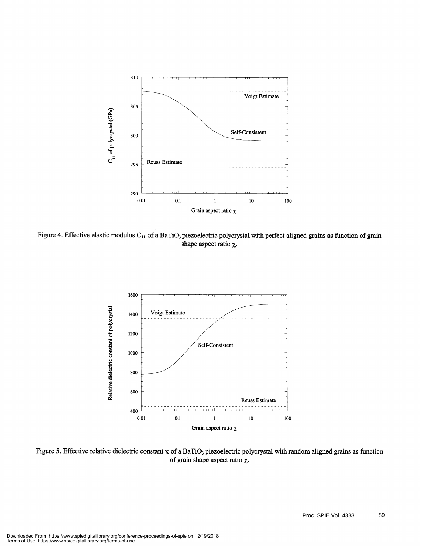

Figure 4. Effective elastic modulus C<sub>11</sub> of a BaTiO<sub>3</sub> piezoelectric polycrystal with perfect aligned grains as function of grain shape aspect ratio  $\chi$ .



Figure 5. Effective relative dielectric constant  $\kappa$  of a BaTiO<sub>3</sub> piezoelectric polycrystal with random aligned grains as function of grain shape aspect ratio  $\chi$ .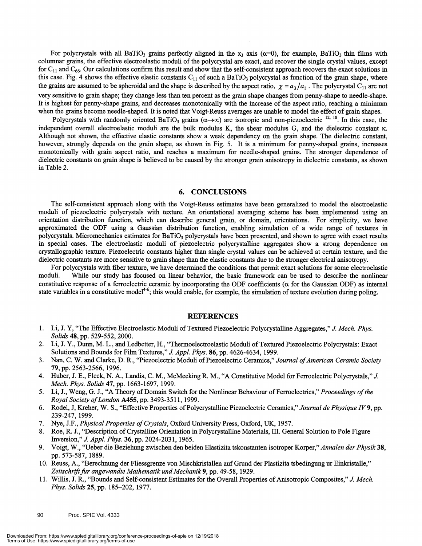For polycrystals with all BaTiO<sub>3</sub> grains perfectly aligned in the x<sub>3</sub> axis ( $\alpha=0$ ), for example, BaTiO<sub>3</sub> thin films with colunmar grains, the effective electroelastic moduli of the polycrystal are exact, and recover the single crystal values, except for  $C_{11}$  and  $C_{66}$ . Our calculations confirm this result and show that the self-consistent approach recovers the exact solutions in this case. Fig. 4 shows the effective elastic constants  $C_{11}$  of such a BaTiO<sub>3</sub> polycrystal as function of the grain shape, where the grains are assumed to be spheroidal and the shape is described by the aspect ratio,  $\chi = a_3/a_1$ . The polycrystal C<sub>11</sub> are not very sensitive to grain shape; they change less than ten percent as the grain shape changes from penny-shape to needle-shape. It is highest for penny-shape grains, and decreases monotonically with the increase of the aspect ratio, reaching a minimum when the grains become needle-shaped. It is noted that Voigt-Reuss averages are unable to model the effect of grain shapes.

Polycrystals with randomly oriented BaTiO<sub>3</sub> grains ( $\alpha \rightarrow \infty$ ) are isotropic and non-piezoelectric <sup>12, 18</sup>. In this case, the independent overall electroelastic moduli are the bulk modulus K, the shear modulus G, and the dielectric constant  $\kappa$ . Although not shown, the effective elastic constants show a weak dependency on the grain shape. The dielectric constant, however, strongly depends on the grain shape, as shown in Fig. 5. It is a minimum for penny-shaped grains, increases monotonically with grain aspect ratio, and reaches a maximum for needle-shaped grains. The stronger dependence of dielectric constants on grain shape is believed to be caused by the stronger grain anisotropy in dielectric constants, as shown in Table 2.

#### 6. CONCLUSIONS

The self-consistent approach along with the Voigt-Reuss estimates have been generalized to model the electroelastic moduli of piezoelectric polycrystals with texture. An orientational averaging scheme has been implemented using an orientation distribution function, which can describe general grain, or domain, orientations. For simplicity, we have approximated the ODF using a Gaussian distribution function, enabling simulation of a wide range of textures in polycrystals. Micromechanics estimates for BaTiO<sub>3</sub> polycrystals have been presented, and shown to agree with exact results in special cases. The electroelastic moduli of piezoelectric polycrystalline aggregates show a strong dependence on crystallograpinc texture. Piezoelectric constants higher than single crystal values can be achieved at certain texture, and the dielectric constants are more sensitive to grain shape than the elastic constants due to the stronger electrical anisotropy.

For polycrystals with fiber texture, we have determined the conditions that permit exact solutions for some electroelastic moduli. While our study has focused on linear behavior, the basic framework can be used to describe the nonlinear constitutive response of a ferroelectric ceramic by incorporating the ODF coefficients ( $\alpha$  for the Gaussian ODF) as internal state variables in a constitutive model<sup>4-6</sup>; this would enable, for example, the simulation of texture evolution during poling.

#### **REFERENCES**

- 1. Li, J. Y, "The Effective Electroelastic Moduli of Textured Piezoelectric Polycrystalline Aggregates," J. Mech. Phys. Solids 48, pp. 529-552, 2000.
- 2. Li, J. Y., Dunn, M. L., and Ledbetter, H., "Thermoelectroelastic Moduli of Textured Piezoelectric Polycrystals: Exact Solutions and Bounds for Film Textures," J. Appl. Phys. 86, pp. 4626-4634, 1999.
- 3. Nan, C. W. and Clarke, D. R., "Piezoelectric Moduli of Piezoelectric Ceramics," Journal of American Ceramic Society 79, pp. 2563-2566, 1996.
- 4. Huber, J. E., Fleck, N. A., Landis, C. M., McMeeking R. M., "A Constitutive Model for Ferroelectric Polycrystals," J. Mech. Phys. Solids 47, pp. 1663-1697, 1999.
- 5. Li, J., Weng, G. J., "A Theory of Domain Switch for the Nonlinear Behaviour of Ferroelectrics," Proceedings of the Royal Society of London A455, pp. 3493-3511, 1999.
- 6. Rodel, J, Kreher, W. S., "Effective Properties of Polycrystalline Piezoelectric Ceramics," Journal de Physique IV 9, pp. 239-247, 1999.
- 7. Nye, J.F., *Physical Properties of Crystals*, Oxford University Press, Oxford, UK, 1957.
- 8. Roe, R. J., "Description of Crystalline Orientation in Polycrystalline Materials, III. General Solution to Pole Figure Inversion," J. Appl. Phys. 36, pp. 2024-203 1, 1965.
- 9. Voigt, W., "Ueber die Beziehung zwischen den beiden Elastizita tskonstanten isotroper Korper," Annalen der Physik 38, pp. 573-587, 1889.
- 10. Reuss, A., "Berechnung der Fliessgrenze von Mischkristallen aufGrund der Plastizita tsbedingung ur Einkristalle," Zeitschrift fur angewandte Mathematik und Mechanik 9, pp. 49-58, 1929.
- 11. Willis, J. R., "Bounds and Self-consistent Estimates for the Overall Properties of Anisotropic Composites," J. Mech. Phys. Solids 25, pp. 185—202, 1977.